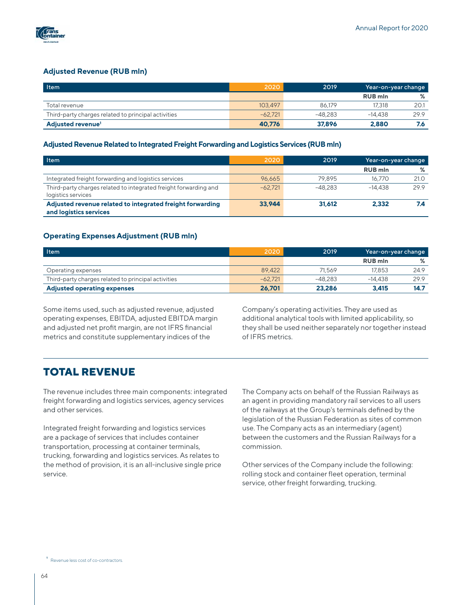

# **Adjusted Revenue (RUB mln)**

| <b>Item</b>                                         | 2020      | 2019      |                | Year-on-year change |  |
|-----------------------------------------------------|-----------|-----------|----------------|---------------------|--|
|                                                     |           |           | <b>RUB</b> mln | %                   |  |
| Total revenue                                       | 103.497   | 86.179    | 17.318         | 20.1                |  |
| Third-party charges related to principal activities | $-62.721$ | $-48.283$ | $-14.438$      | 29.9                |  |
| Adjusted revenue <sup>1</sup>                       | 40.776    | 37.896    | 2.880          |                     |  |

#### **Adjusted Revenue Related to Integrated Freight Forwarding and Logistics Services (RUB mln)**

| Item                                                                                   | 2020      | 2019      |                | Year-on-year change |  |
|----------------------------------------------------------------------------------------|-----------|-----------|----------------|---------------------|--|
|                                                                                        |           |           | <b>RUB</b> mln | ℅                   |  |
| Integrated freight forwarding and logistics services                                   | 96.665    | 79.895    | 16.770         | 21.0                |  |
| Third-party charges related to integrated freight forwarding and<br>logistics services | $-62.721$ | $-48.283$ | $-14.438$      | 29.9                |  |
| Adjusted revenue related to integrated freight forwarding<br>and logistics services    | 33.944    | 31.612    | 2.332          |                     |  |

### **Operating Expenses Adjustment (RUB mln)**

| <b>Item</b>                                         | 2020      | 2019      |                | Year-on-year change |  |
|-----------------------------------------------------|-----------|-----------|----------------|---------------------|--|
|                                                     |           |           | <b>RUB</b> mln | %                   |  |
| Operating expenses                                  | 89.422    | 71.569    | 17.853         | 24.9                |  |
| Third-party charges related to principal activities | $-62.721$ | $-48.283$ | $-14.438$      | 29.9                |  |
| <b>Adjusted operating expenses</b>                  | 26.701    | 23,286    | 3.415          | 14.7                |  |

Some items used, such as adjusted revenue, adjusted operating expenses, EBITDA, adjusted EBITDA margin and adjusted net profit margin, are not IFRS financial metrics and constitute supplementary indices of the

Company's operating activities. They are used as additional analytical tools with limited applicability, so they shall be used neither separately nor together instead of IFRS metrics.

# **TOTAL REVENUE**

The revenue includes three main components: integrated freight forwarding and logistics services, agency services and other services.

Integrated freight forwarding and logistics services are a package of services that includes container transportation, processing at container terminals, trucking, forwarding and logistics services. As relates to the method of provision, it is an all-inclusive single price service.

The Company acts on behalf of the Russian Railways as an agent in providing mandatory rail services to all users of the railways at the Group's terminals defined by the legislation of the Russian Federation as sites of common use. The Company acts as an intermediary (agent) between the customers and the Russian Railways for a commission.

Other services of the Company include the following: rolling stock and container fleet operation, terminal service, other freight forwarding, trucking.

**<sup>1</sup>** Revenue less cost of co-contractors.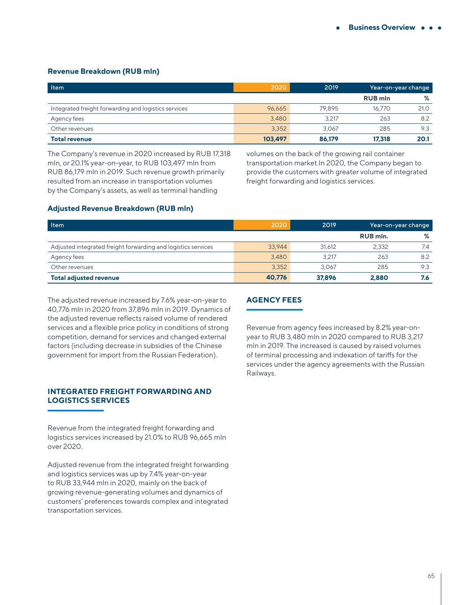# **Revenue Breakdown (RUB mln)**

| Item                                                 | 2020    | 2019   |                | Year-on-year change |  |
|------------------------------------------------------|---------|--------|----------------|---------------------|--|
|                                                      |         |        | <b>RUB</b> mln | ℅                   |  |
| Integrated freight forwarding and logistics services | 96.665  | 79.895 | 16.770         | 21.0                |  |
| Agency fees                                          | 3,480   | 3,217  | 263            | 8.2                 |  |
| Other revenues                                       | 3,352   | 3.067  | 285            | 9.3                 |  |
| <b>Total revenue</b>                                 | 103,497 | 86,179 | 17,318         | 20.1                |  |

The Company's revenue in 2020 increased by RUB 17,318 mln, or 20.1% year-on-year, to RUB 103,497 mln from RUB 86,179 mln in 2019. Such revenue growth primarily resulted from an increase in transportation volumes by the Company's assets, as well as terminal handling

volumes on the back of the growing rail container transportation market.In 2020, the Company began to provide the customers with greater volume of integrated freight forwarding and logistics services.

### **Adjusted Revenue Breakdown (RUB mln)**

| <b>Item</b>                                                   | 2020   | 2019   | Year-on-year change |     |
|---------------------------------------------------------------|--------|--------|---------------------|-----|
|                                                               |        |        | RUB mln.            | %   |
| Adjusted integrated freight forwarding and logistics services | 33.944 | 31.612 | 2.332               | 7.4 |
| Agency fees                                                   | 3,480  | 3.217  | 263                 | 8.2 |
| Other revenues                                                | 3,352  | 3.067  | 285                 | 9.3 |
| <b>Total adjusted revenue</b>                                 | 40.776 | 37.896 | 2,880               | 7.6 |

The adjusted revenue increased by 7.6% year-on-year to 40,776 mln in 2020 from 37,896 mln in 2019. Dynamics of the adjusted revenue reflects raised volume of rendered services and a flexible price policy in conditions of strong competition, demand for services and changed external factors (including decrease in subsidies of the Chinese government for import from the Russian Federation).

# **INTEGRATED FREIGHT FORWARDING AND LOGISTICS SERVICES**

Revenue from the integrated freight forwarding and logistics services increased by 21.0% to RUB 96,665 mln over 2020.

Adjusted revenue from the integrated freight forwarding and logistics services was up by 7.4% year-on-year to RUB 33,944 mln in 2020, mainly on the back of growing revenue-generating volumes and dynamics of customers' preferences towards complex and integrated transportation services.

# **AGENCY FEES**

Revenue from agency fees increased by 8.2% year-onyear to RUB 3,480 mln in 2020 compared to RUB 3,217 mln in 2019. The increased is caused by raised volumes of terminal processing and indexation of tariffs for the services under the agency agreements with the Russian Railways.